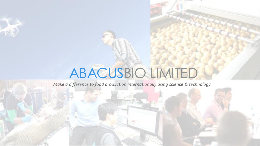# ABACUSBIO LIMITED

*Make a difference to food production internationally using science & technology*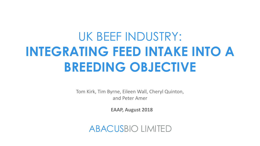# UK BEEF INDUSTRY: **INTEGRATING FEED INTAKE INTO A BREEDING OBJECTIVE**

Tom Kirk, Tim Byrne, Eileen Wall, Cheryl Quinton, and Peter Amer

**EAAP, August 2018**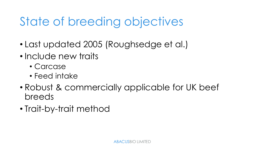# State of breeding objectives

- Last updated 2005 (Roughsedge et al.)
- Include new traits
	- Carcase
	- Feed intake
- Robust & commercially applicable for UK beef breeds
- Trait-by-trait method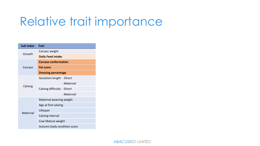#### Relative trait importance

| <b>Sub Index</b> | Trait                       |
|------------------|-----------------------------|
| Growth           | Carcass weight              |
|                  | <b>Daily Feed intake</b>    |
| Carcase          | <b>Carcase conformation</b> |
|                  | <b>Fat score</b>            |
|                  | <b>Dressing percentage</b>  |
| Calving          | Gestation length - Direct   |
|                  | - Maternal                  |
|                  | Calving difficulty - Direct |
|                  | - Maternal                  |
| Maternal         | Maternal weaning weight     |
|                  | Age at first calving        |
|                  | Lifespan                    |
|                  | Calving interval            |
|                  | Cow Mature weight           |
|                  | Autumn body condition score |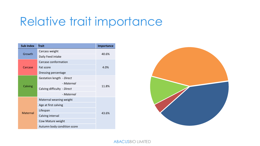#### Relative trait importance

| <b>Sub Index</b> | <b>Trait</b>                | Importance |  |
|------------------|-----------------------------|------------|--|
| Growth           | Carcass weight              | 40.6%      |  |
|                  | Daily Feed intake           |            |  |
| Carcase          | Carcase conformation        | 4.0%       |  |
|                  | Fat score                   |            |  |
|                  | Dressing percentage         |            |  |
| Calving          | Gestation length - Direct   | 11.8%      |  |
|                  | - Maternal                  |            |  |
|                  | Calving difficulty - Direct |            |  |
|                  | - Maternal                  |            |  |
| <b>Maternal</b>  | Maternal weaning weight     |            |  |
|                  | Age at first calving        |            |  |
|                  | Lifespan                    | 43.6%      |  |
|                  | Calving interval            |            |  |
|                  | Cow Mature weight           |            |  |
|                  | Autumn body condition score |            |  |

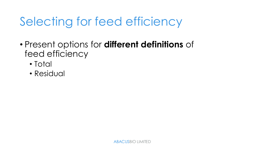# Selecting for feed efficiency

- Present options for **different definitions** of feed efficiency
	- Total
	- Residual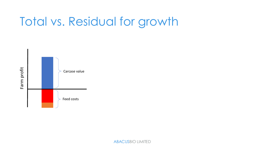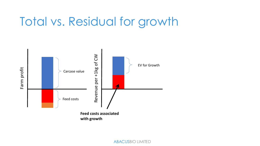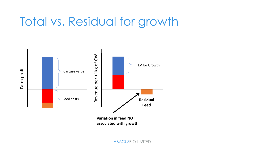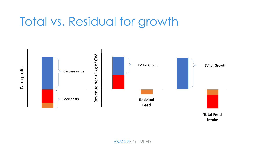

**Intake**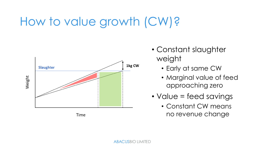## How to value growth (CW)?



Time

- Constant slaughter weight
	- Early at same CW
	- Marginal value of feed approaching zero
- Value = feed savings
	- Constant CW means no revenue change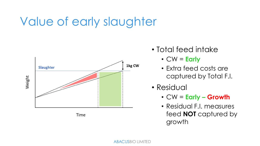# Value of early slaughter



Time

- Total feed intake
	- CW = **Early**
	- Extra feed costs are captured by Total F.I.
- Residual
	- CW = **Early – Growth**
	- Residual F.I. measures feed **NOT** captured by growth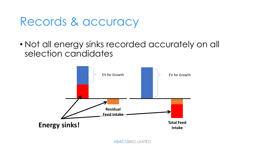#### Records & accuracy

• Not all energy sinks recorded accurately on all selection candidates

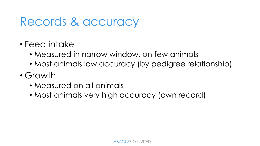#### Records & accuracy

- Feed intake
	- Measured in narrow window, on few animals
	- Most animals low accuracy (by pedigree relationship)
- Growth
	- Measured on all animals
	- Most animals very high accuracy (own record)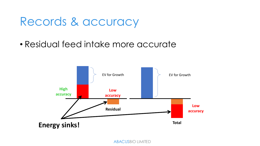#### Records & accuracy

• Residual feed intake more accurate

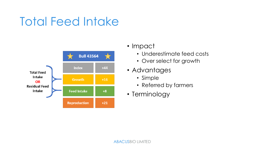### Total Feed Intake



- Impact
	- Underestimate feed costs
	- Over select for growth
- Advantages
	- Simple
	- Referred by farmers
- Terminology